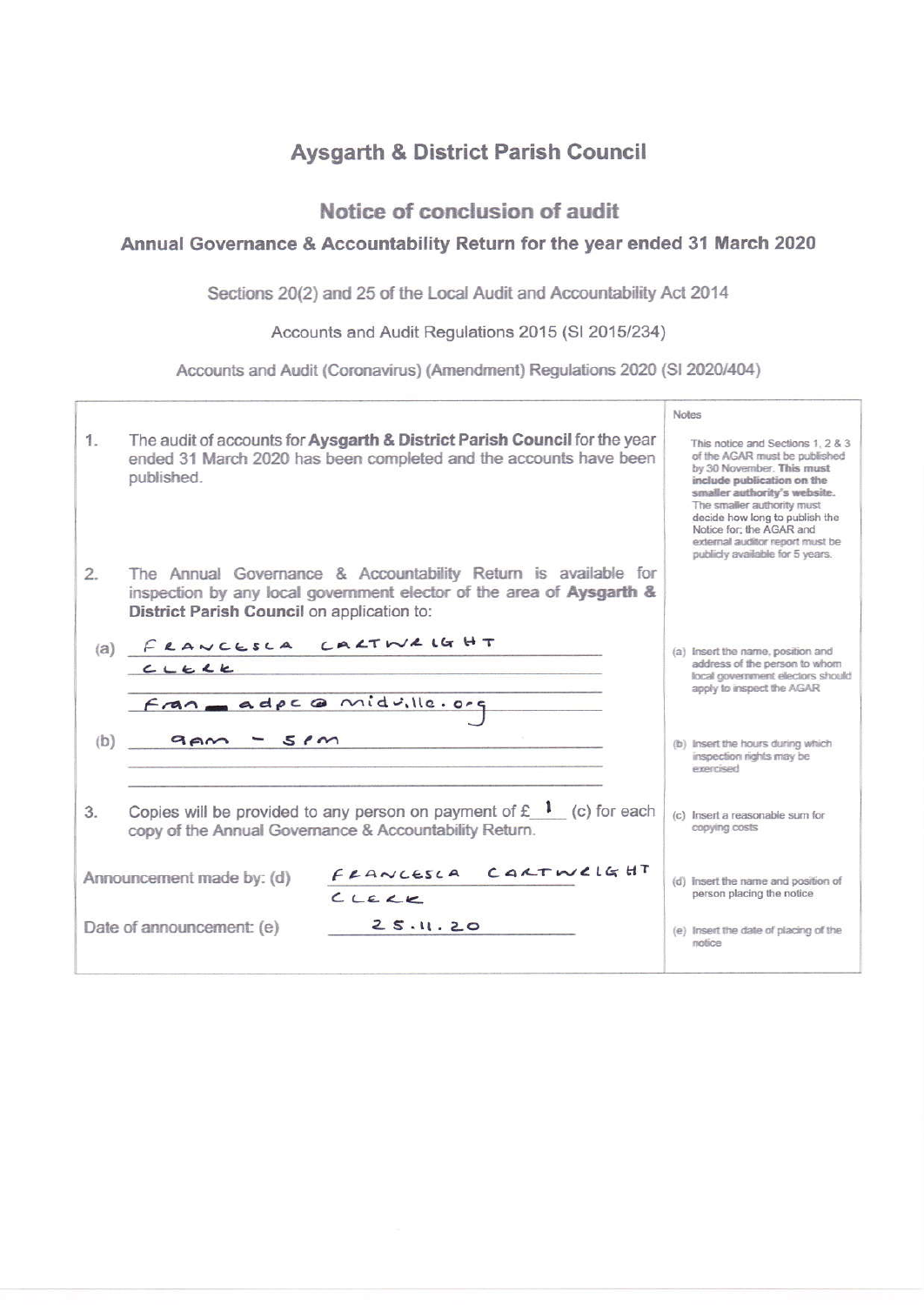# **Aysgarth & District Parish Council**

## Notice of conclusion of audit

## Annual Governance & Accountability Return for the year ended 31 March 2020

Sections 20(2) and 25 of the Local Audit and Accountability Act 2014

Accounts and Audit Regulations 2015 (SI 2015/234)

Accounts and Audit (Coronavirus) (Amendment) Regulations 2020 (SI 2020/404)

|         |                                            |                                                                                                                                                | <b>Notes</b>                                                  |                                                                                                                                                                                                                                                                                                                                 |
|---------|--------------------------------------------|------------------------------------------------------------------------------------------------------------------------------------------------|---------------------------------------------------------------|---------------------------------------------------------------------------------------------------------------------------------------------------------------------------------------------------------------------------------------------------------------------------------------------------------------------------------|
| $1_{-}$ | published.                                 | The audit of accounts for Aysgarth & District Parish Council for the year<br>ended 31 March 2020 has been completed and the accounts have been |                                                               | This notice and Sections 1, 2 & 3<br>of the AGAR must be published<br>by 30 November. This must<br>include publication on the<br>smaller authority's website.<br>The smaller authority must<br>decide how long to publish the<br>Notice for: the AGAR and<br>external auditor report must be<br>publicly available for 5 years. |
| 2.      |                                            | The Annual Governance & Accountability Return is available for                                                                                 |                                                               |                                                                                                                                                                                                                                                                                                                                 |
|         | District Parish Council on application to: | inspection by any local government elector of the area of Aysgarth &                                                                           |                                                               |                                                                                                                                                                                                                                                                                                                                 |
|         | FRANCESCA                                  | CALTWALGHT                                                                                                                                     |                                                               |                                                                                                                                                                                                                                                                                                                                 |
| (a)     | CLELE                                      |                                                                                                                                                |                                                               | (a) Insert the name, position and<br>address of the person to whom                                                                                                                                                                                                                                                              |
|         |                                            |                                                                                                                                                | local government electors should<br>apply to inspect the AGAR |                                                                                                                                                                                                                                                                                                                                 |
|         | Fran adpc @ midville.org                   |                                                                                                                                                |                                                               |                                                                                                                                                                                                                                                                                                                                 |
|         |                                            |                                                                                                                                                |                                                               |                                                                                                                                                                                                                                                                                                                                 |
| (b)     | 5.6m<br>9 <sub>em</sub>                    |                                                                                                                                                |                                                               | (b) Insert the hours during which<br>inspection rights may be<br>exerised                                                                                                                                                                                                                                                       |
|         |                                            |                                                                                                                                                |                                                               |                                                                                                                                                                                                                                                                                                                                 |
| 3.      |                                            | Copies will be provided to any person on payment of $f(x)$ (c) for each<br>copy of the Annual Governance & Accountability Return.              |                                                               | (c) Insert a reasonable sum for<br>copying costs                                                                                                                                                                                                                                                                                |
|         |                                            | CARTWELGHT                                                                                                                                     |                                                               |                                                                                                                                                                                                                                                                                                                                 |
|         | Announcement made by: (d)                  | FRANCESCA                                                                                                                                      | $\{c\}$                                                       | Insert the name and position of<br>person placing the notice                                                                                                                                                                                                                                                                    |
|         |                                            | CLEY                                                                                                                                           |                                                               |                                                                                                                                                                                                                                                                                                                                 |
|         | Date of announcement: (e)                  | 25.11.20                                                                                                                                       |                                                               | (e) Insert the date of placing of the<br>notice                                                                                                                                                                                                                                                                                 |
|         |                                            |                                                                                                                                                |                                                               |                                                                                                                                                                                                                                                                                                                                 |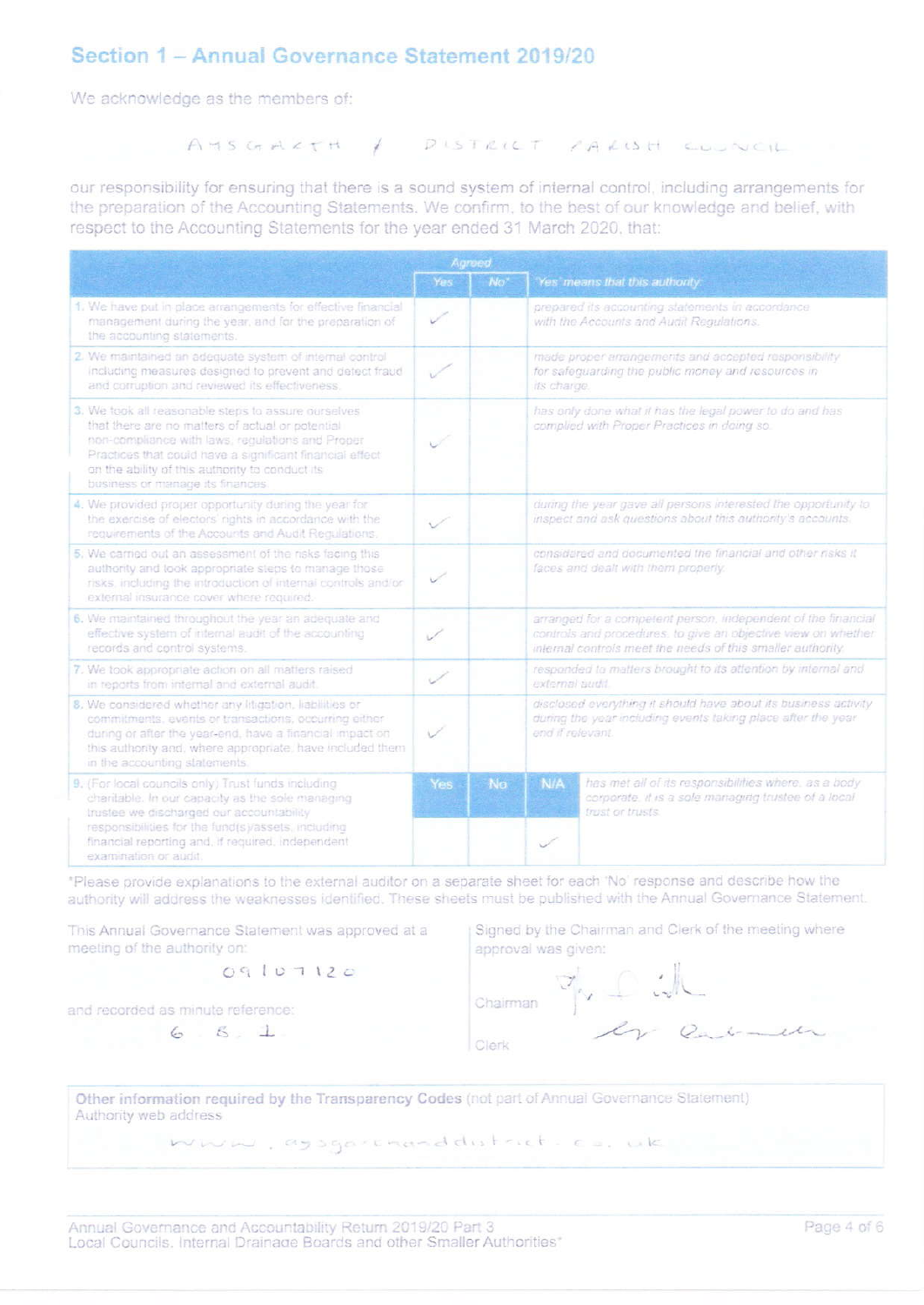## Section 1 - Annual Governance Statement 2019/20

We acknowledge as the members of:

### AMSGARTH / DISTRICT FARISH COUNCIL

our responsibility for ensuring that there is a sound system of internal control, including arrangements for the preparation of the Accounting Statements. We confirm, to the best of our knowledge and belief, with respect to the Accounting Statements for the year ended 31 March 2020, that:

|                                                                                                                                                                                                                                                                                                                | Agreed     |                 |                                                                                                                                                                                               |                                                                                                                                 |  |
|----------------------------------------------------------------------------------------------------------------------------------------------------------------------------------------------------------------------------------------------------------------------------------------------------------------|------------|-----------------|-----------------------------------------------------------------------------------------------------------------------------------------------------------------------------------------------|---------------------------------------------------------------------------------------------------------------------------------|--|
|                                                                                                                                                                                                                                                                                                                | Yes        | No <sup>*</sup> |                                                                                                                                                                                               | Yes' means that this authority.                                                                                                 |  |
| 1. We have put in place arrangements for effective financial<br>management during the year, and for the preparation of<br>the accounting statements.                                                                                                                                                           | $\sqrt{ }$ |                 |                                                                                                                                                                                               | prepared its accounting statements in accordance.<br>with the Accounts and Audit Regulations.                                   |  |
| 2. We maintained an adequate system of internal control<br>including measures designed to prevent and detect fraud<br>and corruption and reviewed its effectiveness.                                                                                                                                           |            |                 |                                                                                                                                                                                               | made proper arrangements and accepted responsibility<br>for safequarding the public money and resources in<br>its charge.       |  |
| 3. We took all reasonable steps to assure ourselves<br>that there are no matters of actual or potential<br>non-compliance with laws, regulations and Proper<br>Practices that could have a significant financial effect<br>on the ability of this authority to conduct its<br>business or manage its finances. |            |                 |                                                                                                                                                                                               | has only done what it has the legal power to do and has<br>complied with Proper Practices in doing so.                          |  |
| 4. We provided proper opportunity during the year for<br>the exercise of electors' rights in accordance with the<br>requirements of the Accounts and Audit Requiations.                                                                                                                                        |            |                 |                                                                                                                                                                                               | during the year gave all persons interested the opportunity to<br>inspect and ask questions about this authority's accounts.    |  |
| 5. We carried out an assessment of the risks facing this<br>authority and took appropriate steps to manage those<br>risks, including the introduction of internal controls and/or<br>external insurance cover where required.                                                                                  | ✓          |                 | considered and documented the financial and other risks it<br>faces and dealt with them properly.                                                                                             |                                                                                                                                 |  |
| 6. We maintained throughout the year an adequate and<br>effective system of internal audit of the accounting<br>records and control systems.                                                                                                                                                                   |            |                 | arranged for a competent person, independent of the financial<br>controls and procedures, to give an objective view on whether<br>internal controls meet the needs of this smaller authority. |                                                                                                                                 |  |
| 7. We took appropriate action on all matters raised<br>in reports from internal and external audit.                                                                                                                                                                                                            | . 1        |                 | responded to matters brought to its attention by internal and<br>external audit.                                                                                                              |                                                                                                                                 |  |
| 8. We considered whether any litigation, liabilities or<br>commitments, events or transactions, occurring either<br>during or after the year-end, have a financial impact on<br>this authority and, where appropriate, have included them<br>in the accounting statements.                                     | V          |                 | disclosed everything it should have about its business activity<br>during the year including events taking place after the year<br>end if relevant.                                           |                                                                                                                                 |  |
| 9. (For local councils only) Trust funds including.<br>charitable. In our capacity as the sole managing<br>trustee we discharged our accountability<br>responsibilities for the fund(s)/assets, including<br>financial reporting and, if required, independent<br>examination or audit.                        | Yes        | No              | <b>N/A</b>                                                                                                                                                                                    | has met all of its responsibilities where, as a body<br>corporate. It is a sole managing trustee of a local<br>trust or trusts. |  |

\*Please provide explanations to the external auditor on a separate sheet for each "No' response and describe how the authority will address the weaknesses identified. These sheets must be published with the Annual Governance Statement.

This Annual Governance Statement was approved at a meeting of the authority on:

 $09107120$ 

and recorded as minute reference:

 $6.5.1$ 

Signed by the Chairman and Clerk of the meeting where approval was given:

Chairman

Clerk

y Cil

Other information required by the Transparency Codes (not part of Annual Governance Statement) Authority web address

www.gogarranddutrict.co.uk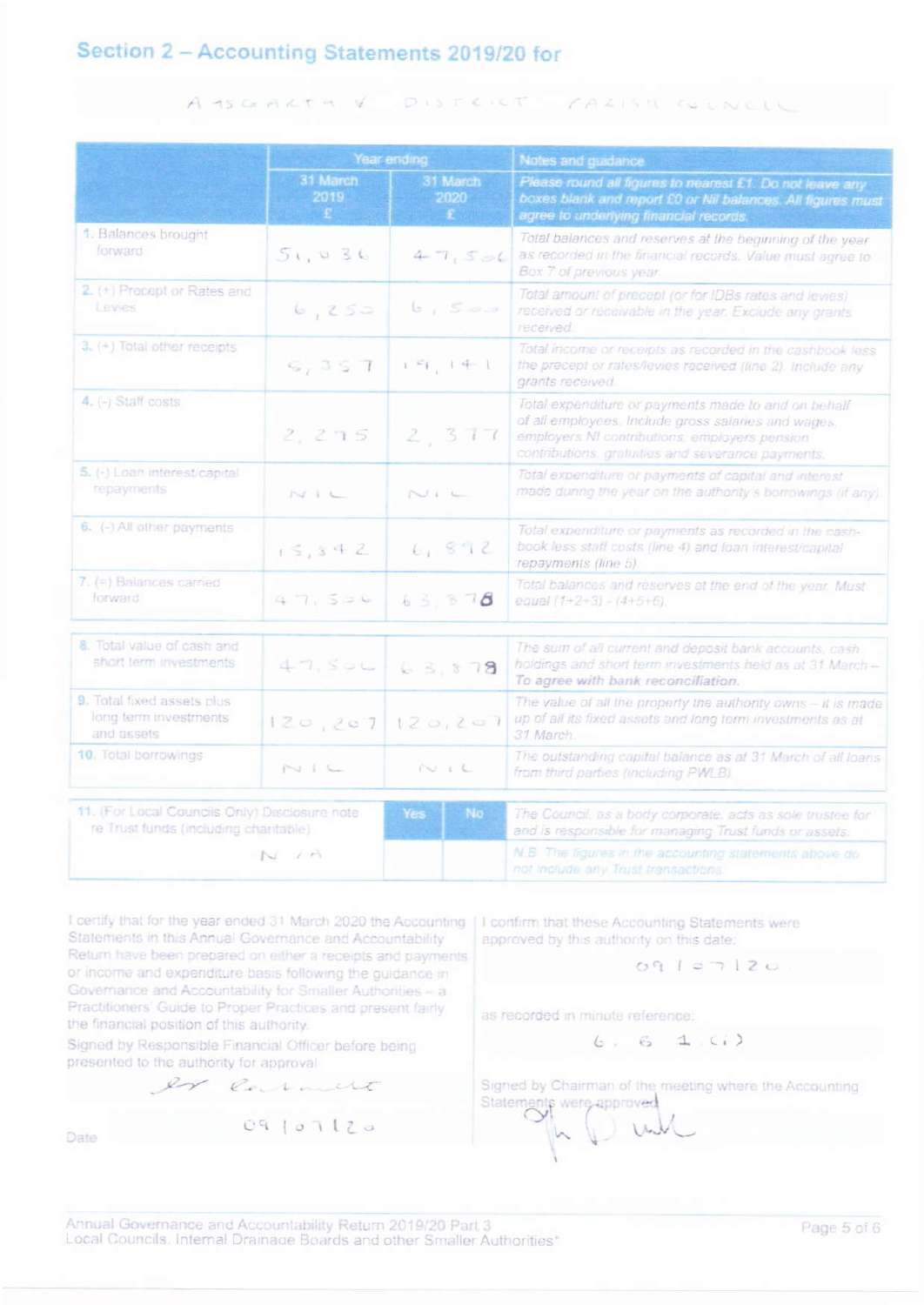# Section 2 - Accounting Statements 2019/20 for

#### $DISTLIC$ A IS GEARTH V CALISM COUNCLY

|                                                                                        | Year ending            |                              | Notes and guidance                                                                                                                                                                                               |  |  |
|----------------------------------------------------------------------------------------|------------------------|------------------------------|------------------------------------------------------------------------------------------------------------------------------------------------------------------------------------------------------------------|--|--|
|                                                                                        | 31 March<br>2019<br>Đ. | 31 March<br>2020<br><b>E</b> | Please round all figures to nearest £1. Do not leave any<br>boxes blank and report £0 or Nil balances. All figures must<br>agree to underlying financial records.                                                |  |  |
| 1. Balances brought<br>forward                                                         | 51,036                 | 47,506                       | Total balances and reserves at the beginning of the year<br>as recorded in the financial records. Value must agree to<br>Box 7 of previous year.                                                                 |  |  |
| 2. (+) Precept or Rates and<br>Levies                                                  | 6,250                  | 6,500                        | Total amount of precept (or for IDBs rates and levies)<br>received or receivable in the year. Exclude any grants<br>received.                                                                                    |  |  |
| 3. (+) Total other receipts                                                            | 9,357                  | $i \in I$ , $i + 1$          | Total income or receipts as recorded in the cashbook less<br>the precept or rates/levies received (line 2). Include any<br>grants received.                                                                      |  |  |
| 4. (-) Staff costs                                                                     | 2,275                  | 2,377                        | Total expenditure or payments made to and on behalf<br>of all employees. Include gross salaries and wages,<br>employers NI contributions, employers pension<br>contributions, gratuities and severance payments. |  |  |
| 5. (-) Loan interest/capital<br>repayments                                             | $N+1$                  | $N + L$                      | Total expenditure or payments of capital and interest<br>made dunng the year on the authority's borrowings (if any).                                                                                             |  |  |
| $6.$ (-) All other payments                                                            | 15, 342                | 6,892                        | Total expenditure or payments as recorded in the cash-<br>book less staff costs (line 4) and loan interest/capital<br>repayments (line 5).                                                                       |  |  |
| 7. (=) Balances carried<br>forward                                                     | 47,506                 | 63, 878                      | Total balances and reserves at the end of the year. Must<br>equal $(1+2+3) - (4+5+6)$                                                                                                                            |  |  |
| 8. Total value of cash and<br>short term investments                                   | 47.506                 | 63,878                       | The sum of all current and deposit bank accounts, cash<br>holdings and short term investments held as at 31 March-<br>To agree with bank reconciliation.                                                         |  |  |
| 9. Total fixed assets plus<br>long term investments<br>and assets                      | 120, 207               | 120, 207                     | The value of all the property the authority owns - it is made<br>up of all its fixed assets and long term investments as at<br>31 March.                                                                         |  |  |
| 10. Total borrowings                                                                   | $N + C$                | $N + L$                      | The outstanding capital balance as at 31 March of all loans<br>from third parties (including PWLB).                                                                                                              |  |  |
| 11. (For Local Councils Only) Disclosure note<br>re Trust funds (including charitable) |                        | No.<br>Yes                   | The Council, as a body corporate, acts as sole trustee for<br>and is responsible for managing Trust funds or assets.                                                                                             |  |  |
|                                                                                        | NA                     |                              | N.B. The figures in the accounting statements above do<br>not include any Trust transactions.                                                                                                                    |  |  |

I certify that for the year ended 31 March 2020 the Accounting Statements in this Annual Governance and Accountability Return have been prepared on either a receipts and payments or income and expenditure basis following the guidance in Governance and Accountability for Smaller Authorities - a Practitioners' Guide to Proper Practices and present fairly the financial position of this authority.

Signed by Responsible Financial Officer before being presented to the authority for approval

Date

I confirm that these Accounting Statements were approved by this authority on this date:

 $09107120$ 

as recorded in minute reference:

 $6.61$  (i)

Signed by Chairman of the meeting where the Accounting Statements were approved

09/07/20